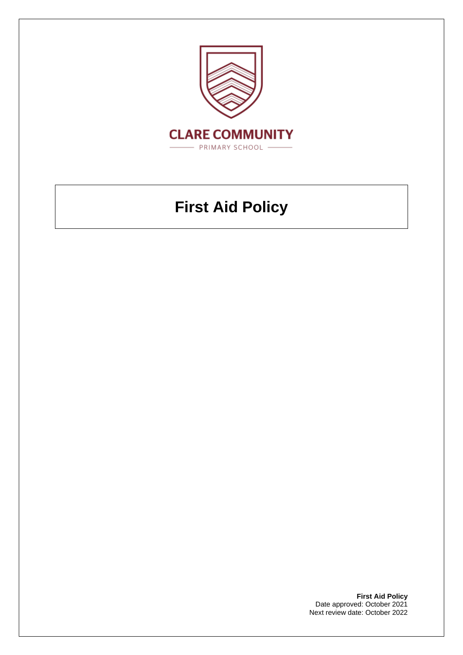

# **First Aid Policy**

**First Aid Policy** Date approved: October 2021 Next review date: October 2022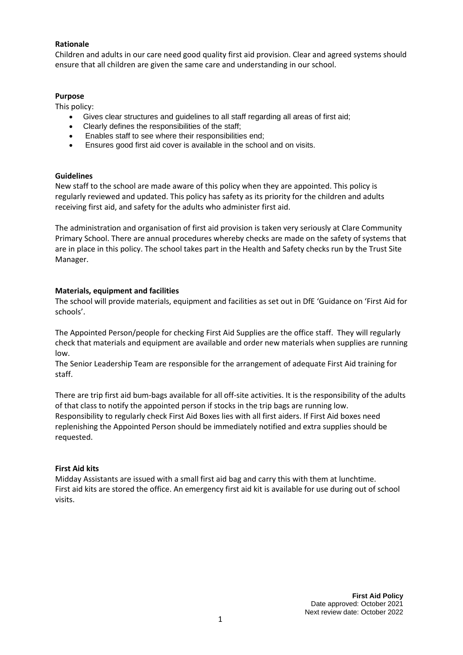## **Rationale**

Children and adults in our care need good quality first aid provision. Clear and agreed systems should ensure that all children are given the same care and understanding in our school.

## **Purpose**

This policy:

- Gives clear structures and guidelines to all staff regarding all areas of first aid;
- Clearly defines the responsibilities of the staff;
- Enables staff to see where their responsibilities end;
- Ensures good first aid cover is available in the school and on visits.

#### **Guidelines**

New staff to the school are made aware of this policy when they are appointed. This policy is regularly reviewed and updated. This policy has safety as its priority for the children and adults receiving first aid, and safety for the adults who administer first aid.

The administration and organisation of first aid provision is taken very seriously at Clare Community Primary School. There are annual procedures whereby checks are made on the safety of systems that are in place in this policy. The school takes part in the Health and Safety checks run by the Trust Site Manager.

## **Materials, equipment and facilities**

The school will provide materials, equipment and facilities as set out in DfE 'Guidance on 'First Aid for schools'.

The Appointed Person/people for checking First Aid Supplies are the office staff. They will regularly check that materials and equipment are available and order new materials when supplies are running low.

The Senior Leadership Team are responsible for the arrangement of adequate First Aid training for staff.

There are trip first aid bum-bags available for all off-site activities. It is the responsibility of the adults of that class to notify the appointed person if stocks in the trip bags are running low. Responsibility to regularly check First Aid Boxes lies with all first aiders. If First Aid boxes need replenishing the Appointed Person should be immediately notified and extra supplies should be requested.

# **First Aid kits**

Midday Assistants are issued with a small first aid bag and carry this with them at lunchtime. First aid kits are stored the office. An emergency first aid kit is available for use during out of school visits.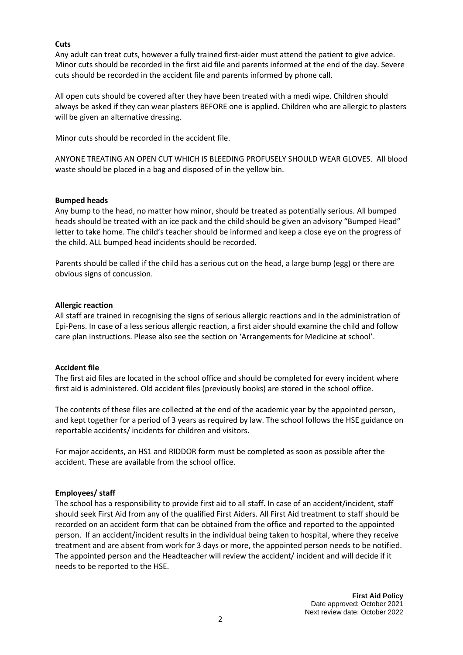#### **Cuts**

Any adult can treat cuts, however a fully trained first-aider must attend the patient to give advice. Minor cuts should be recorded in the first aid file and parents informed at the end of the day. Severe cuts should be recorded in the accident file and parents informed by phone call.

All open cuts should be covered after they have been treated with a medi wipe. Children should always be asked if they can wear plasters BEFORE one is applied. Children who are allergic to plasters will be given an alternative dressing.

Minor cuts should be recorded in the accident file.

ANYONE TREATING AN OPEN CUT WHICH IS BLEEDING PROFUSELY SHOULD WEAR GLOVES. All blood waste should be placed in a bag and disposed of in the yellow bin.

## **Bumped heads**

Any bump to the head, no matter how minor, should be treated as potentially serious. All bumped heads should be treated with an ice pack and the child should be given an advisory "Bumped Head" letter to take home. The child's teacher should be informed and keep a close eye on the progress of the child. ALL bumped head incidents should be recorded.

Parents should be called if the child has a serious cut on the head, a large bump (egg) or there are obvious signs of concussion.

## **Allergic reaction**

All staff are trained in recognising the signs of serious allergic reactions and in the administration of Epi-Pens. In case of a less serious allergic reaction, a first aider should examine the child and follow care plan instructions. Please also see the section on 'Arrangements for Medicine at school'.

# **Accident file**

The first aid files are located in the school office and should be completed for every incident where first aid is administered. Old accident files (previously books) are stored in the school office.

The contents of these files are collected at the end of the academic year by the appointed person, and kept together for a period of 3 years as required by law. The school follows the HSE guidance on reportable accidents/ incidents for children and visitors.

For major accidents, an HS1 and RIDDOR form must be completed as soon as possible after the accident. These are available from the school office.

#### **Employees/ staff**

The school has a responsibility to provide first aid to all staff. In case of an accident/incident, staff should seek First Aid from any of the qualified First Aiders. All First Aid treatment to staff should be recorded on an accident form that can be obtained from the office and reported to the appointed person. If an accident/incident results in the individual being taken to hospital, where they receive treatment and are absent from work for 3 days or more, the appointed person needs to be notified. The appointed person and the Headteacher will review the accident/ incident and will decide if it needs to be reported to the HSE.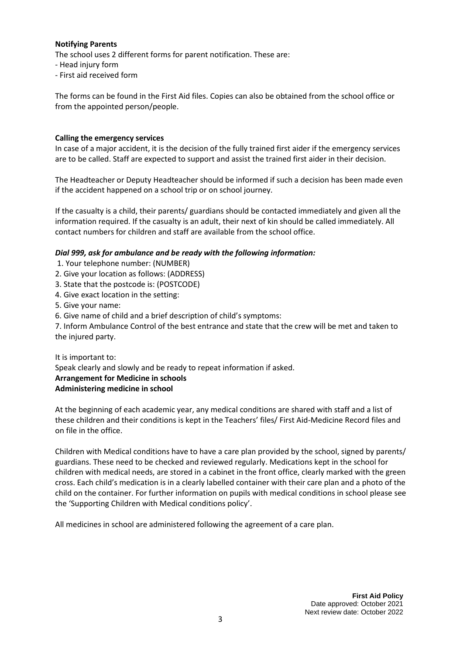## **Notifying Parents**

The school uses 2 different forms for parent notification. These are:

- Head injury form
- First aid received form

The forms can be found in the First Aid files. Copies can also be obtained from the school office or from the appointed person/people.

## **Calling the emergency services**

In case of a major accident, it is the decision of the fully trained first aider if the emergency services are to be called. Staff are expected to support and assist the trained first aider in their decision.

The Headteacher or Deputy Headteacher should be informed if such a decision has been made even if the accident happened on a school trip or on school journey.

If the casualty is a child, their parents/ guardians should be contacted immediately and given all the information required. If the casualty is an adult, their next of kin should be called immediately. All contact numbers for children and staff are available from the school office.

# *Dial 999, ask for ambulance and be ready with the following information:*

- 1. Your telephone number: (NUMBER)
- 2. Give your location as follows: (ADDRESS)
- 3. State that the postcode is: (POSTCODE)
- 4. Give exact location in the setting:
- 5. Give your name:
- 6. Give name of child and a brief description of child's symptoms:

7. Inform Ambulance Control of the best entrance and state that the crew will be met and taken to the injured party.

It is important to: Speak clearly and slowly and be ready to repeat information if asked. **Arrangement for Medicine in schools Administering medicine in school** 

At the beginning of each academic year, any medical conditions are shared with staff and a list of these children and their conditions is kept in the Teachers' files/ First Aid-Medicine Record files and on file in the office.

Children with Medical conditions have to have a care plan provided by the school, signed by parents/ guardians. These need to be checked and reviewed regularly. Medications kept in the school for children with medical needs, are stored in a cabinet in the front office, clearly marked with the green cross. Each child's medication is in a clearly labelled container with their care plan and a photo of the child on the container. For further information on pupils with medical conditions in school please see the 'Supporting Children with Medical conditions policy'.

All medicines in school are administered following the agreement of a care plan.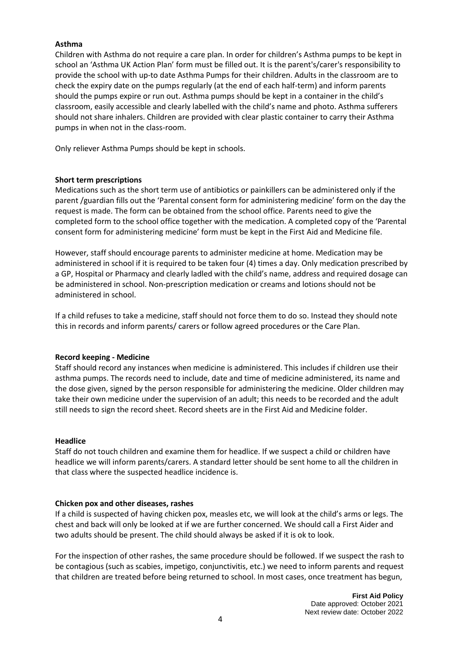## **Asthma**

Children with Asthma do not require a care plan. In order for children's Asthma pumps to be kept in school an 'Asthma UK Action Plan' form must be filled out. It is the parent's/carer's responsibility to provide the school with up-to date Asthma Pumps for their children. Adults in the classroom are to check the expiry date on the pumps regularly (at the end of each half-term) and inform parents should the pumps expire or run out. Asthma pumps should be kept in a container in the child's classroom, easily accessible and clearly labelled with the child's name and photo. Asthma sufferers should not share inhalers. Children are provided with clear plastic container to carry their Asthma pumps in when not in the class-room.

Only reliever Asthma Pumps should be kept in schools.

#### **Short term prescriptions**

Medications such as the short term use of antibiotics or painkillers can be administered only if the parent /guardian fills out the 'Parental consent form for administering medicine' form on the day the request is made. The form can be obtained from the school office. Parents need to give the completed form to the school office together with the medication. A completed copy of the 'Parental consent form for administering medicine' form must be kept in the First Aid and Medicine file.

However, staff should encourage parents to administer medicine at home. Medication may be administered in school if it is required to be taken four (4) times a day. Only medication prescribed by a GP, Hospital or Pharmacy and clearly ladled with the child's name, address and required dosage can be administered in school. Non-prescription medication or creams and lotions should not be administered in school.

If a child refuses to take a medicine, staff should not force them to do so. Instead they should note this in records and inform parents/ carers or follow agreed procedures or the Care Plan.

#### **Record keeping - Medicine**

Staff should record any instances when medicine is administered. This includes if children use their asthma pumps. The records need to include, date and time of medicine administered, its name and the dose given, signed by the person responsible for administering the medicine. Older children may take their own medicine under the supervision of an adult; this needs to be recorded and the adult still needs to sign the record sheet. Record sheets are in the First Aid and Medicine folder.

#### **Headlice**

Staff do not touch children and examine them for headlice. If we suspect a child or children have headlice we will inform parents/carers. A standard letter should be sent home to all the children in that class where the suspected headlice incidence is.

#### **Chicken pox and other diseases, rashes**

If a child is suspected of having chicken pox, measles etc, we will look at the child's arms or legs. The chest and back will only be looked at if we are further concerned. We should call a First Aider and two adults should be present. The child should always be asked if it is ok to look.

For the inspection of other rashes, the same procedure should be followed. If we suspect the rash to be contagious (such as scabies, impetigo, conjunctivitis, etc.) we need to inform parents and request that children are treated before being returned to school. In most cases, once treatment has begun,